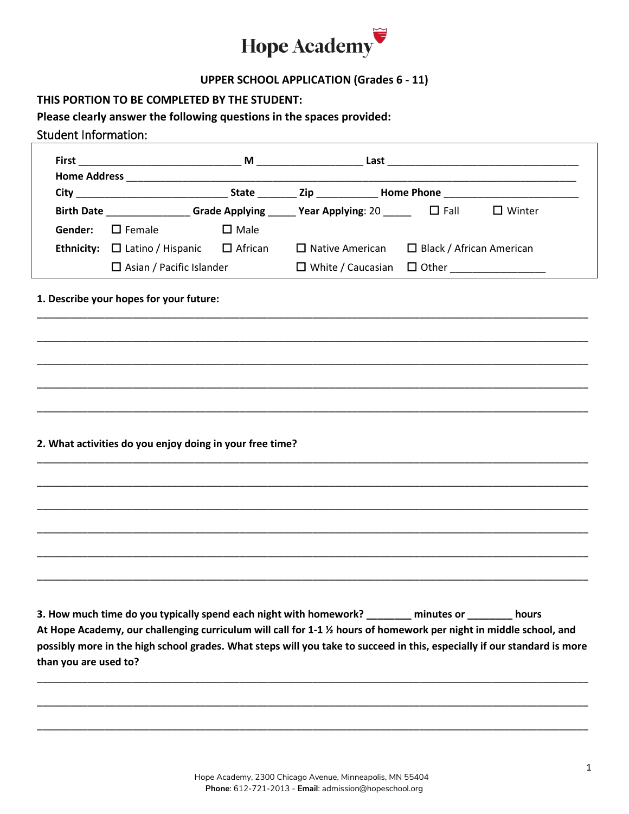

## **UPPER SCHOOL APPLICATION (Grades 6 - 11)**

#### **THIS PORTION TO BE COMPLETED BY THE STUDENT:**

# **Please clearly answer the following questions in the spaces provided:**

## Student Information:

|                                |                                                           |                | $M \sim 1$                                             |                                       |               |
|--------------------------------|-----------------------------------------------------------|----------------|--------------------------------------------------------|---------------------------------------|---------------|
| <b>Home Address</b>            |                                                           |                |                                                        |                                       |               |
|                                |                                                           |                | State <b>Example 21 Zip Home Phone Example 21</b>      |                                       |               |
| <b>Birth Date Example 2014</b> |                                                           |                | Grade Applying Year Applying: $20$ $\Box$ Fall         |                                       | $\Box$ Winter |
| Gender:                        | $\Box$ Female                                             | $\square$ Male |                                                        |                                       |               |
|                                | <b>Ethnicity:</b> $\Box$ Latino / Hispanic $\Box$ African |                | $\Box$ Native American $\Box$ Black / African American |                                       |               |
|                                | $\Box$ Asian / Pacific Islander                           |                |                                                        | $\Box$ White / Caucasian $\Box$ Other |               |

\_\_\_\_\_\_\_\_\_\_\_\_\_\_\_\_\_\_\_\_\_\_\_\_\_\_\_\_\_\_\_\_\_\_\_\_\_\_\_\_\_\_\_\_\_\_\_\_\_\_\_\_\_\_\_\_\_\_\_\_\_\_\_\_\_\_\_\_\_\_\_\_\_\_\_\_\_\_\_\_\_\_\_\_\_\_\_\_\_\_\_\_\_\_\_\_\_\_

\_\_\_\_\_\_\_\_\_\_\_\_\_\_\_\_\_\_\_\_\_\_\_\_\_\_\_\_\_\_\_\_\_\_\_\_\_\_\_\_\_\_\_\_\_\_\_\_\_\_\_\_\_\_\_\_\_\_\_\_\_\_\_\_\_\_\_\_\_\_\_\_\_\_\_\_\_\_\_\_\_\_\_\_\_\_\_\_\_\_\_\_\_\_\_\_\_\_

\_\_\_\_\_\_\_\_\_\_\_\_\_\_\_\_\_\_\_\_\_\_\_\_\_\_\_\_\_\_\_\_\_\_\_\_\_\_\_\_\_\_\_\_\_\_\_\_\_\_\_\_\_\_\_\_\_\_\_\_\_\_\_\_\_\_\_\_\_\_\_\_\_\_\_\_\_\_\_\_\_\_\_\_\_\_\_\_\_\_\_\_\_\_\_\_\_\_

\_\_\_\_\_\_\_\_\_\_\_\_\_\_\_\_\_\_\_\_\_\_\_\_\_\_\_\_\_\_\_\_\_\_\_\_\_\_\_\_\_\_\_\_\_\_\_\_\_\_\_\_\_\_\_\_\_\_\_\_\_\_\_\_\_\_\_\_\_\_\_\_\_\_\_\_\_\_\_\_\_\_\_\_\_\_\_\_\_\_\_\_\_\_\_\_\_\_

\_\_\_\_\_\_\_\_\_\_\_\_\_\_\_\_\_\_\_\_\_\_\_\_\_\_\_\_\_\_\_\_\_\_\_\_\_\_\_\_\_\_\_\_\_\_\_\_\_\_\_\_\_\_\_\_\_\_\_\_\_\_\_\_\_\_\_\_\_\_\_\_\_\_\_\_\_\_\_\_\_\_\_\_\_\_\_\_\_\_\_\_\_\_\_\_\_\_

\_\_\_\_\_\_\_\_\_\_\_\_\_\_\_\_\_\_\_\_\_\_\_\_\_\_\_\_\_\_\_\_\_\_\_\_\_\_\_\_\_\_\_\_\_\_\_\_\_\_\_\_\_\_\_\_\_\_\_\_\_\_\_\_\_\_\_\_\_\_\_\_\_\_\_\_\_\_\_\_\_\_\_\_\_\_\_\_\_\_\_\_\_\_\_\_\_\_

\_\_\_\_\_\_\_\_\_\_\_\_\_\_\_\_\_\_\_\_\_\_\_\_\_\_\_\_\_\_\_\_\_\_\_\_\_\_\_\_\_\_\_\_\_\_\_\_\_\_\_\_\_\_\_\_\_\_\_\_\_\_\_\_\_\_\_\_\_\_\_\_\_\_\_\_\_\_\_\_\_\_\_\_\_\_\_\_\_\_\_\_\_\_\_\_\_\_

\_\_\_\_\_\_\_\_\_\_\_\_\_\_\_\_\_\_\_\_\_\_\_\_\_\_\_\_\_\_\_\_\_\_\_\_\_\_\_\_\_\_\_\_\_\_\_\_\_\_\_\_\_\_\_\_\_\_\_\_\_\_\_\_\_\_\_\_\_\_\_\_\_\_\_\_\_\_\_\_\_\_\_\_\_\_\_\_\_\_\_\_\_\_\_\_\_\_

\_\_\_\_\_\_\_\_\_\_\_\_\_\_\_\_\_\_\_\_\_\_\_\_\_\_\_\_\_\_\_\_\_\_\_\_\_\_\_\_\_\_\_\_\_\_\_\_\_\_\_\_\_\_\_\_\_\_\_\_\_\_\_\_\_\_\_\_\_\_\_\_\_\_\_\_\_\_\_\_\_\_\_\_\_\_\_\_\_\_\_\_\_\_\_\_\_\_

## **1. Describe your hopes for your future:**

#### **2. What activities do you enjoy doing in your free time?**

**3. How much time do you typically spend each night with homework? \_\_\_\_\_\_\_\_ minutes or \_\_\_\_\_\_\_\_ hours At Hope Academy, our challenging curriculum will call for 1-1 ½ hours of homework per night in middle school, and possibly more in the high school grades. What steps will you take to succeed in this, especially if our standard is more than you are used to?**

\_\_\_\_\_\_\_\_\_\_\_\_\_\_\_\_\_\_\_\_\_\_\_\_\_\_\_\_\_\_\_\_\_\_\_\_\_\_\_\_\_\_\_\_\_\_\_\_\_\_\_\_\_\_\_\_\_\_\_\_\_\_\_\_\_\_\_\_\_\_\_\_\_\_\_\_\_\_\_\_\_\_\_\_\_\_\_\_\_\_\_\_\_\_\_\_\_\_

\_\_\_\_\_\_\_\_\_\_\_\_\_\_\_\_\_\_\_\_\_\_\_\_\_\_\_\_\_\_\_\_\_\_\_\_\_\_\_\_\_\_\_\_\_\_\_\_\_\_\_\_\_\_\_\_\_\_\_\_\_\_\_\_\_\_\_\_\_\_\_\_\_\_\_\_\_\_\_\_\_\_\_\_\_\_\_\_\_\_\_\_\_\_\_\_\_\_

\_\_\_\_\_\_\_\_\_\_\_\_\_\_\_\_\_\_\_\_\_\_\_\_\_\_\_\_\_\_\_\_\_\_\_\_\_\_\_\_\_\_\_\_\_\_\_\_\_\_\_\_\_\_\_\_\_\_\_\_\_\_\_\_\_\_\_\_\_\_\_\_\_\_\_\_\_\_\_\_\_\_\_\_\_\_\_\_\_\_\_\_\_\_\_\_\_\_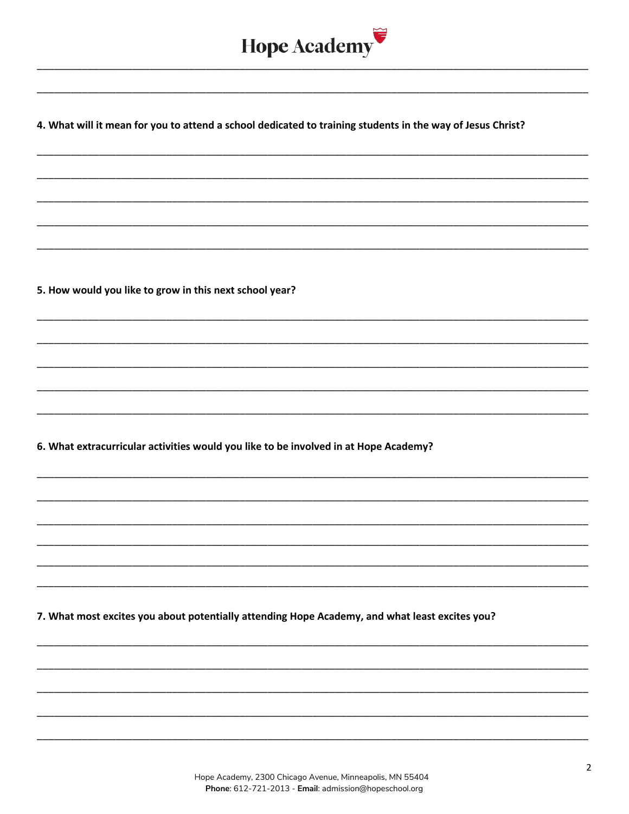

4. What will it mean for you to attend a school dedicated to training students in the way of Jesus Christ?

5. How would you like to grow in this next school year?

6. What extracurricular activities would you like to be involved in at Hope Academy?

7. What most excites you about potentially attending Hope Academy, and what least excites you?